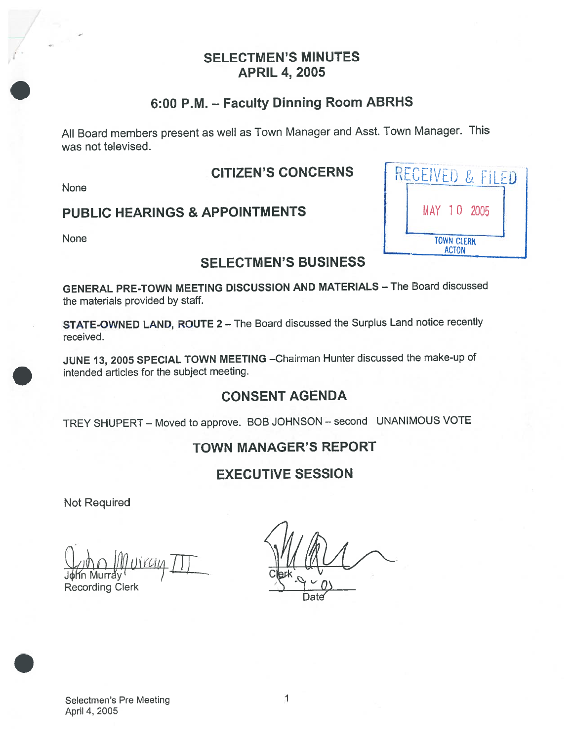#### SELECTMEN'S MINUTES APRIL 4, 2005

# 6:00 P.M. — Faculty Dinning Room ABRHS

All Board members presen<sup>t</sup> as well as Town Manager and Asst. Town Manager. This was not televised.

#### CITIZEN'S CONCERNS

None

#### PUBLIC HEARINGS & APPOINTMENTS

None

### SELECTMEN'S BUSINESS

GENERAL PRE-TOWN MEETING DISCUSSION AND MATERIALS — The Board discussed the materials provided by staff.

STATE-OWNED LAND, ROUTE <sup>2</sup> — The Board discussed the Surplus Land notice recently received.

JUNE 13, <sup>2005</sup> SPECIAL TOWN MEETING —Chairman Hunter discussed the make-up of intended articles for the subject meeting.

## CONSENT AGENDA

TREY SHUPERT — Moved to approve. BOB JOHNSON — second UNANIMOUS VOTE

## TOWN MANAGER'S REPORT

## EXECUTIVE SESSION

Not Required

U Recording Clerk

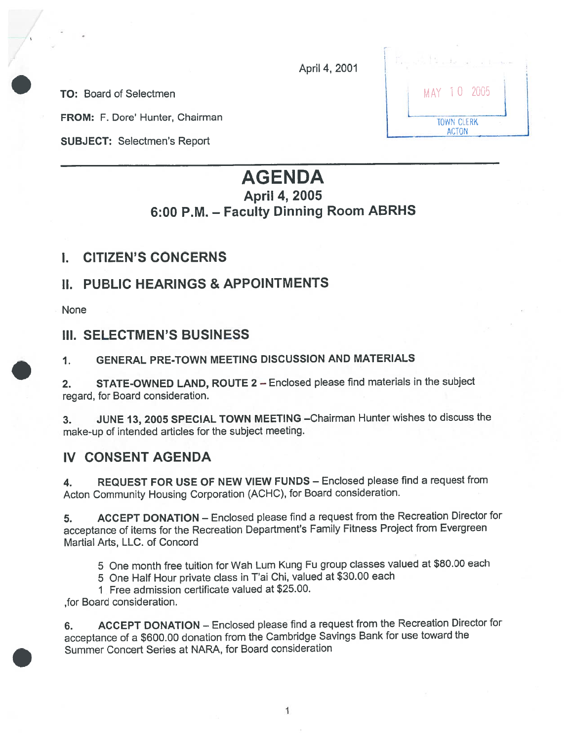April 4, 2001

TO: Board of Selectmen

FROM: F. Dore' Hunter, Chairman

SUBJECT: Selectmen's Report

|  |                                   | MAY 10 2005 |  |
|--|-----------------------------------|-------------|--|
|  | <b>TOWN CLERK</b><br><b>ACTON</b> |             |  |

# AGENDA April 4, 2005 6:00 P.M. — Faculty Dinning Room ABRHS

#### I. CITIZEN'S CONCERNS

### II. PUBLIC HEARINGS & APPOINTMENTS

None

#### III. SELECTMEN'S BUSINESS

#### 1. GENERAL PRE-TOWN MEETING DISCUSSION AND MATERIALS

2. STATE-OWNED LAND, ROUTE <sup>2</sup> — Enclosed <sup>p</sup>lease find materials in the subject regard, for Board consideration.

3. JUNE 13, <sup>2005</sup> SPECIAL TOWN MEETING —Chairman Hunter wishes to discuss the make-up of intended articles for the subject meeting.

#### IV CONSENT AGENDA

4. REQUEST FOR USE OF NEW VIEW FUNDS — Enclosed <sup>p</sup>lease find <sup>a</sup> reques<sup>t</sup> from Acton Community Housing Corporation (ACHC), for Board consideration.

5. ACCEPT DONATION — Enclosed <sup>p</sup>lease find <sup>a</sup> reques<sup>t</sup> from the Recreation Director for acceptance of items for the Recreation Department's Family Fitness Project from Evergreen Martial Arts, LLC. of Concord

<sup>5</sup> One month free tuition for Wah Lum Kung Eu group classes valued at \$80.00 each

<sup>5</sup> One Half Hour private class in T'ai Chi, valued at \$30.00 each

I Free admission certificate valued at \$25.00.

,for Board consideration.

6. ACCEPT DONATION — Enclosed <sup>p</sup>lease find <sup>a</sup> reques<sup>t</sup> from the Recreation Director for acceptance of <sup>a</sup> \$600.00 donation from the Cambridge Savings Bank for use toward the Summer Concert Series at NARA, for Board consideration